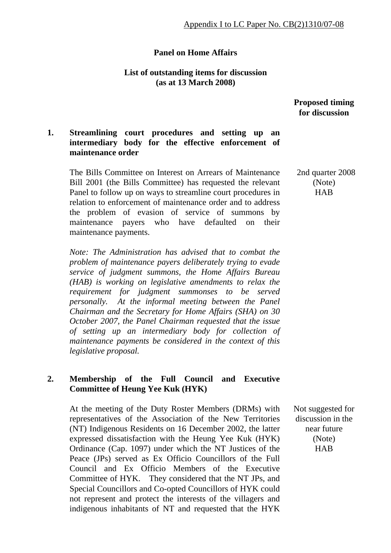## **Panel on Home Affairs**

### **List of outstanding items for discussion (as at 13 March 2008)**

 **Proposed timing for discussion** 

# **1. Streamlining court procedures and setting up an intermediary body for the effective enforcement of maintenance order**

The Bills Committee on Interest on Arrears of Maintenance Bill 2001 (the Bills Committee) has requested the relevant Panel to follow up on ways to streamline court procedures in relation to enforcement of maintenance order and to address the problem of evasion of service of summons by maintenance payers who have defaulted on their maintenance payments.

*Note: The Administration has advised that to combat the problem of maintenance payers deliberately trying to evade service of judgment summons, the Home Affairs Bureau (HAB) is working on legislative amendments to relax the requirement for judgment summonses to be served personally. At the informal meeting between the Panel Chairman and the Secretary for Home Affairs (SHA) on 30 October 2007, the Panel Chairman requested that the issue of setting up an intermediary body for collection of maintenance payments be considered in the context of this legislative proposal.* 

# **2. Membership of the Full Council and Executive Committee of Heung Yee Kuk (HYK)**

At the meeting of the Duty Roster Members (DRMs) with representatives of the Association of the New Territories (NT) Indigenous Residents on 16 December 2002, the latter expressed dissatisfaction with the Heung Yee Kuk (HYK) Ordinance (Cap. 1097) under which the NT Justices of the Peace (JPs) served as Ex Officio Councillors of the Full Council and Ex Officio Members of the Executive Committee of HYK. They considered that the NT JPs, and Special Councillors and Co-opted Councillors of HYK could not represent and protect the interests of the villagers and indigenous inhabitants of NT and requested that the HYK

2nd quarter 2008 (Note) **HAB** 

 Not suggested for discussion in the near future (Note) HAB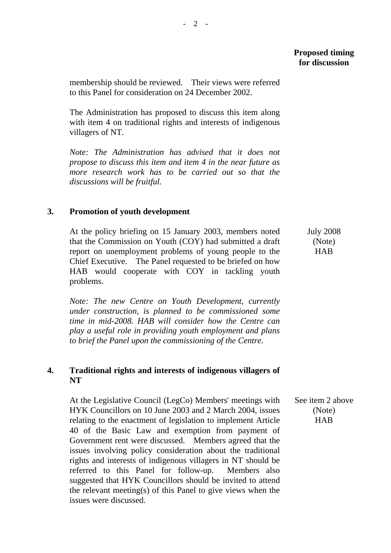membership should be reviewed. Their views were referred to this Panel for consideration on 24 December 2002.

The Administration has proposed to discuss this item along with item 4 on traditional rights and interests of indigenous villagers of NT.

*Note: The Administration has advised that it does not propose to discuss this item and item 4 in the near future as more research work has to be carried out so that the discussions will be fruitful.* 

# **3. Promotion of youth development**

At the policy briefing on 15 January 2003, members noted that the Commission on Youth (COY) had submitted a draft report on unemployment problems of young people to the Chief Executive. The Panel requested to be briefed on how HAB would cooperate with COY in tackling youth problems.

*Note: The new Centre on Youth Development, currently under construction, is planned to be commissioned some time in mid-2008. HAB will consider how the Centre can play a useful role in providing youth employment and plans to brief the Panel upon the commissioning of the Centre.*

# **4. Traditional rights and interests of indigenous villagers of NT**

At the Legislative Council (LegCo) Members' meetings with HYK Councillors on 10 June 2003 and 2 March 2004, issues relating to the enactment of legislation to implement Article 40 of the Basic Law and exemption from payment of Government rent were discussed. Members agreed that the issues involving policy consideration about the traditional rights and interests of indigenous villagers in NT should be referred to this Panel for follow-up. Members also suggested that HYK Councillors should be invited to attend the relevant meeting(s) of this Panel to give views when the issues were discussed. See item 2 above (Note) HAB

 July 2008 (Note) HAB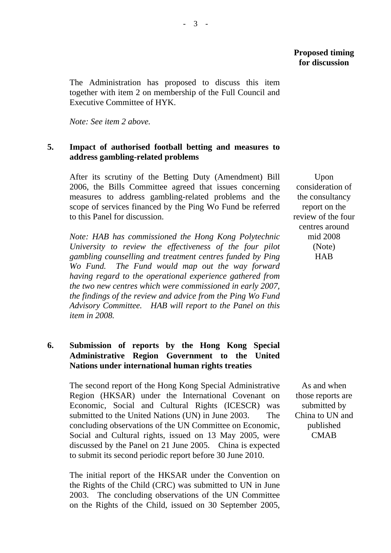The Administration has proposed to discuss this item together with item 2 on membership of the Full Council and Executive Committee of HYK.

*Note: See item 2 above.* 

### **5. Impact of authorised football betting and measures to address gambling-related problems**

After its scrutiny of the Betting Duty (Amendment) Bill 2006, the Bills Committee agreed that issues concerning measures to address gambling-related problems and the scope of services financed by the Ping Wo Fund be referred to this Panel for discussion.

*Note: HAB has commissioned the Hong Kong Polytechnic University to review the effectiveness of the four pilot gambling counselling and treatment centres funded by Ping Wo Fund. The Fund would map out the way forward having regard to the operational experience gathered from the two new centres which were commissioned in early 2007, the findings of the review and advice from the Ping Wo Fund Advisory Committee. HAB will report to the Panel on this item in 2008.* 

# **6. Submission of reports by the Hong Kong Special Administrative Region Government to the United Nations under international human rights treaties**

The second report of the Hong Kong Special Administrative Region (HKSAR) under the International Covenant on Economic, Social and Cultural Rights (ICESCR) was submitted to the United Nations (UN) in June 2003. The concluding observations of the UN Committee on Economic, Social and Cultural rights, issued on 13 May 2005, were discussed by the Panel on 21 June 2005. China is expected to submit its second periodic report before 30 June 2010.

The initial report of the HKSAR under the Convention on the Rights of the Child (CRC) was submitted to UN in June 2003. The concluding observations of the UN Committee on the Rights of the Child, issued on 30 September 2005,

Upon consideration of the consultancy report on the review of the four centres around mid 2008 (Note) **HAB** 

As and when those reports are submitted by China to UN and published CMAB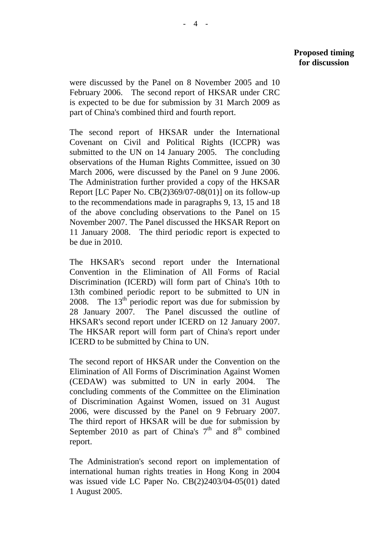were discussed by the Panel on 8 November 2005 and 10 February 2006. The second report of HKSAR under CRC is expected to be due for submission by 31 March 2009 as part of China's combined third and fourth report.

The second report of HKSAR under the International Covenant on Civil and Political Rights (ICCPR) was submitted to the UN on 14 January 2005. The concluding observations of the Human Rights Committee, issued on 30 March 2006, were discussed by the Panel on 9 June 2006. The Administration further provided a copy of the HKSAR Report [LC Paper No. CB(2)369/07-08(01)] on its follow-up to the recommendations made in paragraphs 9, 13, 15 and 18 of the above concluding observations to the Panel on 15 November 2007. The Panel discussed the HKSAR Report on 11 January 2008. The third periodic report is expected to be due in 2010.

The HKSAR's second report under the International Convention in the Elimination of All Forms of Racial Discrimination (ICERD) will form part of China's 10th to 13th combined periodic report to be submitted to UN in 2008. The  $13<sup>th</sup>$  periodic report was due for submission by 28 January 2007. The Panel discussed the outline of HKSAR's second report under ICERD on 12 January 2007. The HKSAR report will form part of China's report under ICERD to be submitted by China to UN.

The second report of HKSAR under the Convention on the Elimination of All Forms of Discrimination Against Women (CEDAW) was submitted to UN in early 2004. The concluding comments of the Committee on the Elimination of Discrimination Against Women, issued on 31 August 2006, were discussed by the Panel on 9 February 2007. The third report of HKSAR will be due for submission by September 2010 as part of China's  $7<sup>th</sup>$  and  $8<sup>th</sup>$  combined report.

The Administration's second report on implementation of international human rights treaties in Hong Kong in 2004 was issued vide LC Paper No. CB(2)2403/04-05(01) dated 1 August 2005.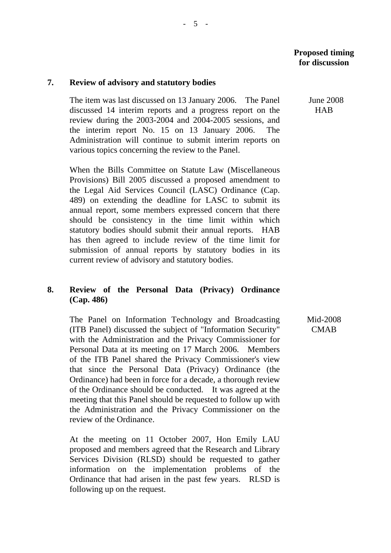#### **7. Review of advisory and statutory bodies**

The item was last discussed on 13 January 2006. The Panel discussed 14 interim reports and a progress report on the review during the 2003-2004 and 2004-2005 sessions, and the interim report No. 15 on 13 January 2006. The Administration will continue to submit interim reports on various topics concerning the review to the Panel.

When the Bills Committee on Statute Law (Miscellaneous Provisions) Bill 2005 discussed a proposed amendment to the Legal Aid Services Council (LASC) Ordinance (Cap. 489) on extending the deadline for LASC to submit its annual report, some members expressed concern that there should be consistency in the time limit within which statutory bodies should submit their annual reports. HAB has then agreed to include review of the time limit for submission of annual reports by statutory bodies in its current review of advisory and statutory bodies.

# **8. Review of the Personal Data (Privacy) Ordinance (Cap. 486)**

The Panel on Information Technology and Broadcasting (ITB Panel) discussed the subject of "Information Security" with the Administration and the Privacy Commissioner for Personal Data at its meeting on 17 March 2006. Members of the ITB Panel shared the Privacy Commissioner's view that since the Personal Data (Privacy) Ordinance (the Ordinance) had been in force for a decade, a thorough review of the Ordinance should be conducted. It was agreed at the meeting that this Panel should be requested to follow up with the Administration and the Privacy Commissioner on the review of the Ordinance.

At the meeting on 11 October 2007, Hon Emily LAU proposed and members agreed that the Research and Library Services Division (RLSD) should be requested to gather information on the implementation problems of the Ordinance that had arisen in the past few years. RLSD is following up on the request.

 June 2008 **HAB** 

Mid-2008 **CMAB**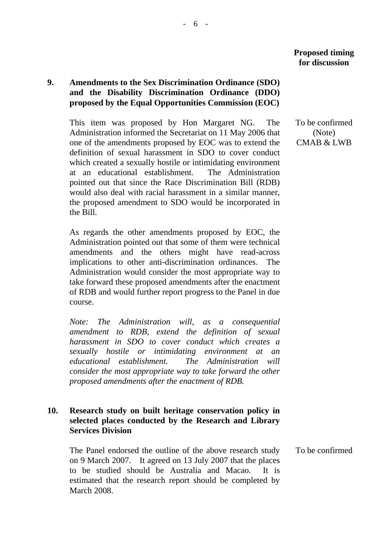# **9. Amendments to the Sex Discrimination Ordinance (SDO) and the Disability Discrimination Ordinance (DDO) proposed by the Equal Opportunities Commission (EOC)**

This item was proposed by Hon Margaret NG. The Administration informed the Secretariat on 11 May 2006 that one of the amendments proposed by EOC was to extend the definition of sexual harassment in SDO to cover conduct which created a sexually hostile or intimidating environment at an educational establishment. The Administration pointed out that since the Race Discrimination Bill (RDB) would also deal with racial harassment in a similar manner, the proposed amendment to SDO would be incorporated in the Bill.

As regards the other amendments proposed by EOC, the Administration pointed out that some of them were technical amendments and the others might have read-across implications to other anti-discrimination ordinances. The Administration would consider the most appropriate way to take forward these proposed amendments after the enactment of RDB and would further report progress to the Panel in due course.

*Note: The Administration will, as a consequential amendment to RDB, extend the definition of sexual harassment in SDO to cover conduct which creates a sexually hostile or intimidating environment at an educational establishment. The Administration will consider the most appropriate way to take forward the other proposed amendments after the enactment of RDB.* 

## **10. Research study on built heritage conservation policy in selected places conducted by the Research and Library Services Division**

The Panel endorsed the outline of the above research study on 9 March 2007. It agreed on 13 July 2007 that the places to be studied should be Australia and Macao. It is estimated that the research report should be completed by March 2008.

To be confirmed (Note) CMAB & LWB

To be confirmed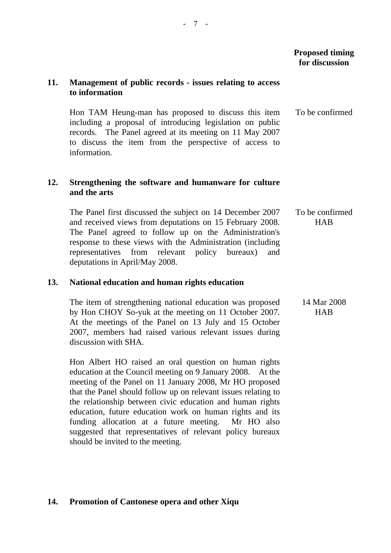# **11. Management of public records - issues relating to access to information**

Hon TAM Heung-man has proposed to discuss this item including a proposal of introducing legislation on public records. The Panel agreed at its meeting on 11 May 2007 to discuss the item from the perspective of access to information. To be confirmed

## **12. Strengthening the software and humanware for culture and the arts**

The Panel first discussed the subject on 14 December 2007 and received views from deputations on 15 February 2008. The Panel agreed to follow up on the Administration's response to these views with the Administration (including representatives from relevant policy bureaux) and deputations in April/May 2008. To be confirmed **HAB** 

### **13. National education and human rights education**

The item of strengthening national education was proposed by Hon CHOY So-yuk at the meeting on 11 October 2007. At the meetings of the Panel on 13 July and 15 October 2007, members had raised various relevant issues during discussion with SHA. 14 Mar 2008 **HAB** 

Hon Albert HO raised an oral question on human rights education at the Council meeting on 9 January 2008. At the meeting of the Panel on 11 January 2008, Mr HO proposed that the Panel should follow up on relevant issues relating to the relationship between civic education and human rights education, future education work on human rights and its funding allocation at a future meeting. Mr HO also suggested that representatives of relevant policy bureaux should be invited to the meeting.

### **14. Promotion of Cantonese opera and other Xiqu**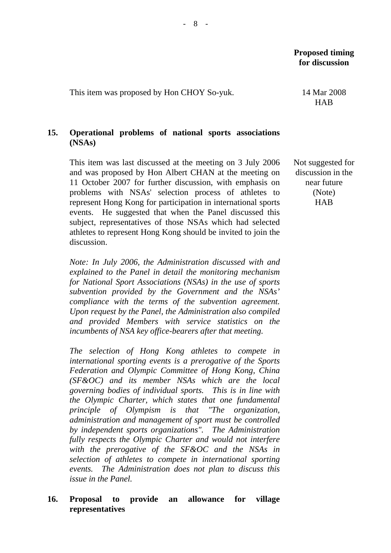This item was proposed by Hon CHOY So-yuk. 14 Mar 2008

# **15. Operational problems of national sports associations (NSAs)**

This item was last discussed at the meeting on 3 July 2006 and was proposed by Hon Albert CHAN at the meeting on 11 October 2007 for further discussion, with emphasis on problems with NSAs' selection process of athletes to represent Hong Kong for participation in international sports events. He suggested that when the Panel discussed this subject, representatives of those NSAs which had selected athletes to represent Hong Kong should be invited to join the discussion.

*Note: In July 2006, the Administration discussed with and explained to the Panel in detail the monitoring mechanism for National Sport Associations (NSAs) in the use of sports subvention provided by the Government and the NSAs' compliance with the terms of the subvention agreement. Upon request by the Panel, the Administration also compiled and provided Members with service statistics on the incumbents of NSA key office-bearers after that meeting.* 

*The selection of Hong Kong athletes to compete in international sporting events is a prerogative of the Sports Federation and Olympic Committee of Hong Kong, China (SF&OC) and its member NSAs which are the local governing bodies of individual sports. This is in line with the Olympic Charter, which states that one fundamental principle of Olympism is that "The organization, administration and management of sport must be controlled by independent sports organizations". The Administration fully respects the Olympic Charter and would not interfere with the prerogative of the SF&OC and the NSAs in selection of athletes to compete in international sporting events. The Administration does not plan to discuss this issue in the Panel.* 

# **16. Proposal to provide an allowance for village representatives**

HAB

Not suggested for discussion in the near future (Note) **HAB**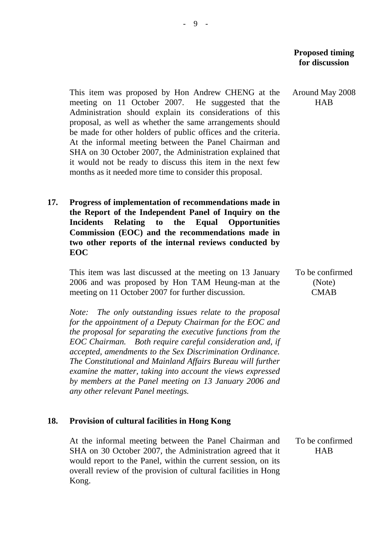Around May 2008 HAB

This item was proposed by Hon Andrew CHENG at the meeting on 11 October 2007. He suggested that the Administration should explain its considerations of this proposal, as well as whether the same arrangements should be made for other holders of public offices and the criteria. At the informal meeting between the Panel Chairman and SHA on 30 October 2007, the Administration explained that it would not be ready to discuss this item in the next few months as it needed more time to consider this proposal.

**17. Progress of implementation of recommendations made in the Report of the Independent Panel of Inquiry on the Incidents Relating to the Equal Opportunities Commission (EOC) and the recommendations made in two other reports of the internal reviews conducted by EOC** 

This item was last discussed at the meeting on 13 January 2006 and was proposed by Hon TAM Heung-man at the meeting on 11 October 2007 for further discussion.

*Note: The only outstanding issues relate to the proposal for the appointment of a Deputy Chairman for the EOC and the proposal for separating the executive functions from the EOC Chairman. Both require careful consideration and, if accepted, amendments to the Sex Discrimination Ordinance. The Constitutional and Mainland Affairs Bureau will further examine the matter, taking into account the views expressed by members at the Panel meeting on 13 January 2006 and any other relevant Panel meetings.* 

#### **18. Provision of cultural facilities in Hong Kong**

At the informal meeting between the Panel Chairman and SHA on 30 October 2007, the Administration agreed that it would report to the Panel, within the current session, on its overall review of the provision of cultural facilities in Hong Kong. HAB

To be confirmed (Note) **CMAB** 

To be confirmed